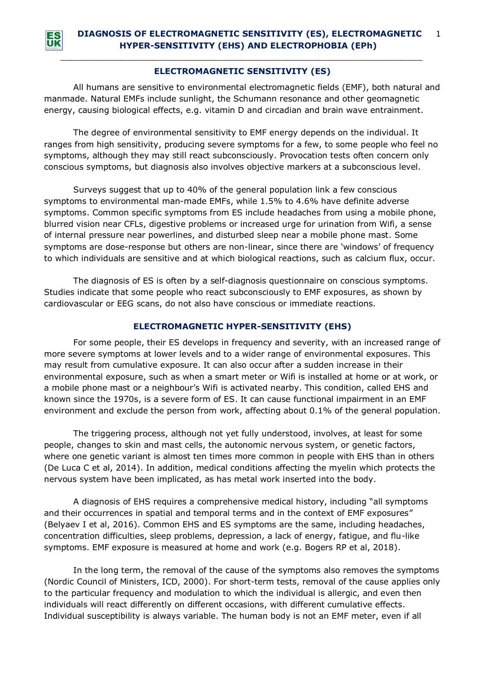

## *\_\_\_\_\_\_\_\_\_\_\_\_\_\_\_\_\_\_\_\_\_\_\_\_\_\_\_\_\_\_\_\_\_\_\_\_\_\_\_\_\_\_\_\_\_\_\_\_\_\_\_\_\_\_\_\_\_\_\_\_\_\_\_\_\_\_\_\_\_\_* **ELECTROMAGNETIC SENSITIVITY (ES)**

All humans are sensitive to environmental electromagnetic fields (EMF), both natural and manmade. Natural EMFs include sunlight, the Schumann resonance and other geomagnetic energy, causing biological effects, e.g. vitamin D and circadian and brain wave entrainment.

The degree of environmental sensitivity to EMF energy depends on the individual. It ranges from high sensitivity, producing severe symptoms for a few, to some people who feel no symptoms, although they may still react subconsciously. Provocation tests often concern only conscious symptoms, but diagnosis also involves objective markers at a subconscious level.

Surveys suggest that up to 40% of the general population link a few conscious symptoms to environmental man-made EMFs, while 1.5% to 4.6% have definite adverse symptoms. Common specific symptoms from ES include headaches from using a mobile phone, blurred vision near CFLs, digestive problems or increased urge for urination from Wifi, a sense of internal pressure near powerlines, and disturbed sleep near a mobile phone mast. Some symptoms are dose-response but others are non-linear, since there are 'windows' of frequency to which individuals are sensitive and at which biological reactions, such as calcium flux, occur.

The diagnosis of ES is often by a self-diagnosis questionnaire on conscious symptoms. Studies indicate that some people who react subconsciously to EMF exposures, as shown by cardiovascular or EEG scans, do not also have conscious or immediate reactions.

## **ELECTROMAGNETIC HYPER-SENSITIVITY (EHS)**

For some people, their ES develops in frequency and severity, with an increased range of more severe symptoms at lower levels and to a wider range of environmental exposures. This may result from cumulative exposure. It can also occur after a sudden increase in their environmental exposure, such as when a smart meter or Wifi is installed at home or at work, or a mobile phone mast or a neighbour's Wifi is activated nearby. This condition, called EHS and known since the 1970s, is a severe form of ES. It can cause functional impairment in an EMF environment and exclude the person from work, affecting about 0.1% of the general population.

The triggering process, although not yet fully understood, involves, at least for some people, changes to skin and mast cells, the autonomic nervous system, or genetic factors, where one genetic variant is almost ten times more common in people with EHS than in others (De Luca C et al, 2014). In addition, medical conditions affecting the myelin which protects the nervous system have been implicated, as has metal work inserted into the body.

A diagnosis of EHS requires a comprehensive medical history, including "all symptoms and their occurrences in spatial and temporal terms and in the context of EMF exposures" (Belyaev I et al, 2016). Common EHS and ES symptoms are the same, including headaches, concentration difficulties, sleep problems, depression, a lack of energy, fatigue, and flu-like symptoms. EMF exposure is measured at home and work (e.g. Bogers RP et al, 2018).

In the long term, the removal of the cause of the symptoms also removes the symptoms (Nordic Council of Ministers, ICD, 2000). For short-term tests, removal of the cause applies only to the particular frequency and modulation to which the individual is allergic, and even then individuals will react differently on different occasions, with different cumulative effects. Individual susceptibility is always variable. The human body is not an EMF meter, even if all